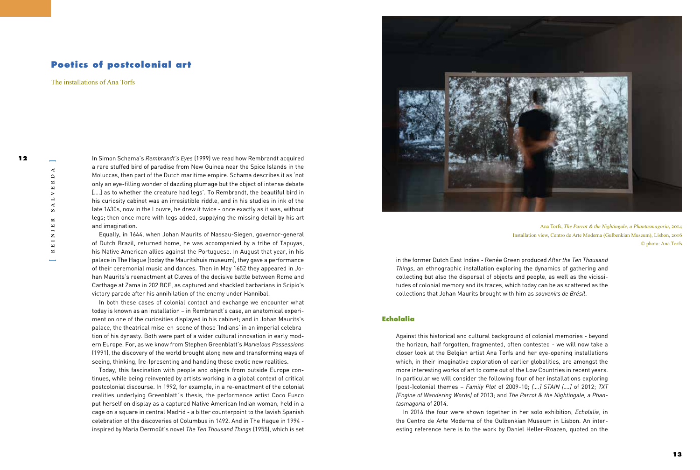The installations of Ana Torfs

**Poetics of postcolonial art**<br>
The installations of Ana Torfs<br>
<br>
In Simon Schama's *Rembrandt's Eyes*<br>
<br>
a rare stuffed bird of paradise from N<br>
Moluccas, then part of the Dutch mari<br>
only an eye-filling wonder of dazzling In Simon Schama's *Rembrandt's Eyes* (1999) we read how Rembrandt acquired a rare stuffed bird of paradise from New Guinea near the Spice Islands in the Moluccas, then part of the Dutch maritime empire. Schama describes it as 'not only an eye-filling wonder of dazzling plumage but the object of intense debate [....] as to whether the creature had legs'. To Rembrandt, the beautiful bird in his curiosity cabinet was an irresistible riddle, and in his studies in ink of the late 1630s, now in the Louvre, he drew it twice - once exactly as it was, without legs; then once more with legs added, supplying the missing detail by his art and imagination.

Equally, in 1644, when Johan Maurits of Nassau-Siegen, governor-general of Dutch Brazil, returned home, he was accompanied by a tribe of Tapuyas, his Native American allies against the Portuguese. In August that year, in his palace in The Hague (today the Mauritshuis museum), they gave a performance of their ceremonial music and dances. Then in May 1652 they appeared in Johan Maurits's reenactment at Cleves of the decisive battle between Rome and Carthage at Zama in 202 BCE, as captured and shackled barbarians in Scipio's victory parade after his annihilation of the enemy under Hannibal.

In both these cases of colonial contact and exchange we encounter what today is known as an installation – in Rembrandt's case, an anatomical experiment on one of the curiosities displayed in his cabinet; and in Johan Maurits's palace, the theatrical mise-en-scene of those 'Indians' in an imperial celebration of his dynasty. Both were part of a wider cultural innovation in early modern Europe. For, as we know from Stephen Greenblatt's *Marvelous Possessions*  (1991), the discovery of the world brought along new and transforming ways of seeing, thinking, (re-)presenting and handling those exotic new realities.

Today, this fascination with people and objects from outside Europe continues, while being reinvented by artists working in a global context of critical postcolonial discourse. In 1992, for example, in a re-enactment of the colonial realities underlying Greenblatt´s thesis, the performance artist Coco Fusco put herself on display as a captured Native American Indian woman, held in a cage on a square in central Madrid - a bitter counterpoint to the lavish Spanish celebration of the discoveries of Columbus in 1492. And in The Hague in 1994 inspired by Maria Dermoût's novel *The Ten Thousand Things* (1955), which is set



Ana Torfs, *The Parrot & the Nightingale, a Phantasmagoria*, 2014 Installation view, Centro de Arte Moderna (Gulbenkian Museum), Lisbon, 2016 © photo: Ana Torfs

in the former Dutch East Indies - Renée Green produced *After the Ten Thousand Things*, an ethnographic installation exploring the dynamics of gathering and collecting but also the dispersal of objects and people, as well as the vicissitudes of colonial memory and its traces, which today can be as scattered as the collections that Johan Maurits brought with him as *souvenirs de Brésil*.

# **Echolalia**

Against this historical and cultural background of colonial memories - beyond the horizon, half forgotten, fragmented, often contested - we will now take a closer look at the Belgian artist Ana Torfs and her eye-opening installations which, in their imaginative exploration of earlier globalities, are amongst the more interesting works of art to come out of the Low Countries in recent years. In particular we will consider the following four of her installations exploring (post-)colonial themes – *Family Plot* of 2009-10; *[….] STAIN [….]* of 2012; *TXT (Engine of Wandering Words)* of 2013; and *The Parrot & the Nightingale, a Phantasmagoria* of 2014.

In 2016 the four were shown together in her solo exhibition, *Echolalia*, in the Centro de Arte Moderna of the Gulbenkian Museum in Lisbon. An interesting reference here is to the work by Daniel Heller-Roazen, quoted on the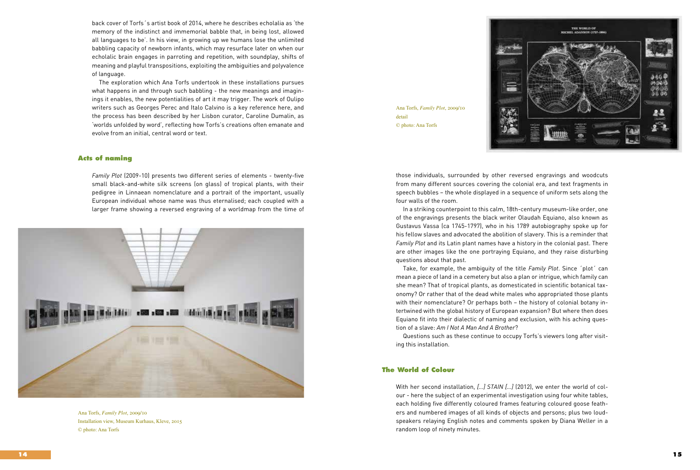back cover of Torfs´s artist book of 2014, where he describes echolalia as 'the memory of the indistinct and immemorial babble that, in being lost, allowed all languages to be'. In his view, in growing up we humans lose the unlimited babbling capacity of newborn infants, which may resurface later on when our echolalic brain engages in parroting and repetition, with soundplay, shifts of meaning and playful transpositions, exploiting the ambiguities and polyvalence of language.

The exploration which Ana Torfs undertook in these installations pursues what happens in and through such babbling - the new meanings and imaginings it enables, the new potentialities of art it may trigger. The work of Oulipo writers such as Georges Perec and Italo Calvino is a key reference here, and the process has been described by her Lisbon curator, Caroline Dumalin, as 'worlds unfolded by word', reflecting how Torfs's creations often emanate and evolve from an initial, central word or text.

## **Acts of naming**

*Family Plot* (2009-10) presents two different series of elements - twenty-five small black-and-white silk screens (on glass) of tropical plants, with their pedigree in Linnaean nomenclature and a portrait of the important, usually European individual whose name was thus eternalised; each coupled with a larger frame showing a reversed engraving of a worldmap from the time of



Ana Torfs, *Family Plot*, 2009/10 Installation view, Museum Kurhaus, Kleve, 2015 © photo: Ana Torfs



Ana Torfs, *Family Plot*, 2009/10 detail © photo: Ana Torfs

those individuals, surrounded by other reversed engravings and woodcuts from many different sources covering the colonial era, and text fragments in speech bubbles – the whole displayed in a sequence of uniform sets along the four walls of the room.

In a striking counterpoint to this calm, 18th-century museum-like order, one of the engravings presents the black writer Olaudah Equiano, also known as Gustavus Vassa (ca 1745-1797), who in his 1789 autobiography spoke up for his fellow slaves and advocated the abolition of slavery. This is a reminder that *Family Plot* and its Latin plant names have a history in the colonial past. There are other images like the one portraying Equiano, and they raise disturbing questions about that past.

Take, for example, the ambiguity of the title *Family Plot*. Since ´plot´ can mean a piece of land in a cemetery but also a plan or intrigue, which family can she mean? That of tropical plants, as domesticated in scientific botanical taxonomy? Or rather that of the dead white males who appropriated those plants with their nomenclature? Or perhaps both – the history of colonial botany intertwined with the global history of European expansion? But where then does Equiano fit into their dialectic of naming and exclusion, with his aching question of a slave: *Am I Not A Man And A Brother*?

Questions such as these continue to occupy Torfs's viewers long after visiting this installation.

# **The World of Colour**

With her second installation, [...] STAIN [...] (2012), we enter the world of colour - here the subject of an experimental investigation using four white tables, each holding five differently coloured frames featuring coloured goose feathers and numbered images of all kinds of objects and persons; plus two loudspeakers relaying English notes and comments spoken by Diana Weller in a random loop of ninety minutes.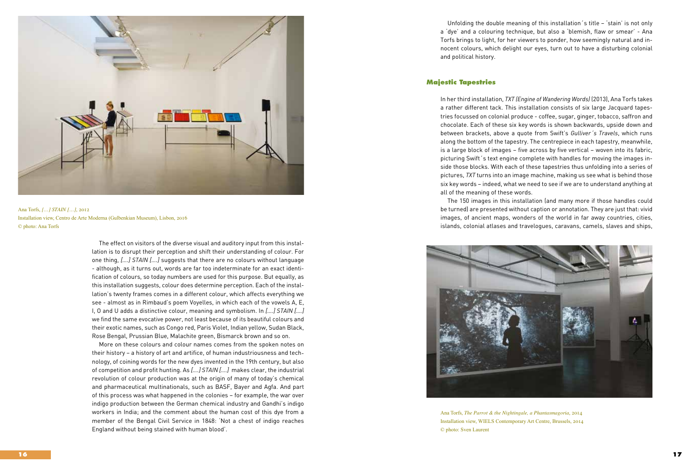

Ana Torfs, *[…] STAIN […]*, 2012 Installation view, Centro de Arte Moderna (Gulbenkian Museum), Lisbon, 2016 © photo: Ana Torfs

> The effect on visitors of the diverse visual and auditory input from this installation is to disrupt their perception and shift their understanding of colour. For one thing, *[….] STAIN [….]* suggests that there are no colours without language - although, as it turns out, words are far too indeterminate for an exact identification of colours, so today numbers are used for this purpose. But equally, as this installation suggests, colour does determine perception. Each of the installation's twenty frames comes in a different colour, which affects everything we see - almost as in Rimbaud's poem Voyelles, in which each of the vowels A, E, I, O and U adds a distinctive colour, meaning and symbolism. In *[….] STAIN [….]* we find the same evocative power, not least because of its beautiful colours and their exotic names, such as Congo red, Paris Violet, Indian yellow, Sudan Black, Rose Bengal, Prussian Blue, Malachite green, Bismarck brown and so on.

> More on these colours and colour names comes from the spoken notes on their history – a history of art and artifice, of human industriousness and technology, of coining words for the new dyes invented in the 19th century, but also of competition and profit hunting. As *[….] STAIN [….]* makes clear, the industrial revolution of colour production was at the origin of many of today's chemical and pharmaceutical multinationals, such as BASF, Bayer and Agfa. And part of this process was what happened in the colonies – for example, the war over indigo production between the German chemical industry and Gandhi's indigo workers in India; and the comment about the human cost of this dye from a member of the Bengal Civil Service in 1848: 'Not a chest of indigo reaches England without being stained with human blood'.

Unfolding the double meaning of this installation´s title – 'stain' is not only a 'dye' and a colouring technique, but also a 'blemish, flaw or smear' - Ana Torfs brings to light, for her viewers to ponder, how seemingly natural and innocent colours, which delight our eyes, turn out to have a disturbing colonial and political history.

# **Majestic Tapestries**

In her third installation, *TXT (Engine of Wandering Words)* (2013), Ana Torfs takes a rather different tack. This installation consists of six large Jacquard tapestries focussed on colonial produce - coffee, sugar, ginger, tobacco, saffron and chocolate. Each of these six key words is shown backwards, upside down and between brackets, above a quote from Swift's *Gulliver´s Travels*, which runs along the bottom of the tapestry. The centrepiece in each tapestry, meanwhile, is a large block of images – five across by five vertical – woven into its fabric, picturing Swift´s text engine complete with handles for moving the images inside those blocks. With each of these tapestries thus unfolding into a series of pictures, *TXT* turns into an image machine, making us see what is behind those six key words – indeed, what we need to see if we are to understand anything at all of the meaning of these words.

The 150 images in this installation (and many more if those handles could be turned) are presented without caption or annotation. They are just that: vivid images, of ancient maps, wonders of the world in far away countries, cities, islands, colonial atlases and travelogues, caravans, camels, slaves and ships,



Ana Torfs, *The Parrot & the Nightingale, a Phantasmagoria*, 2014 Installation view, WIELS Contemporary Art Centre, Brussels, 2014 © photo: Sven Laurent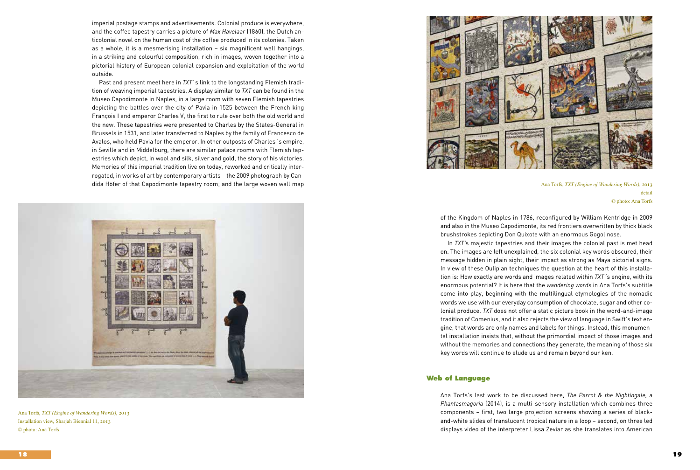imperial postage stamps and advertisements. Colonial produce is everywhere, and the coffee tapestry carries a picture of *Max Havelaar* (1860), the Dutch anticolonial novel on the human cost of the coffee produced in its colonies. Taken as a whole, it is a mesmerising installation – six magnificent wall hangings, in a striking and colourful composition, rich in images, woven together into a pictorial history of European colonial expansion and exploitation of the world outside.

Past and present meet here in *TXT*´s link to the longstanding Flemish tradition of weaving imperial tapestries. A display similar to *TXT* can be found in the Museo Capodimonte in Naples, in a large room with seven Flemish tapestries depicting the battles over the city of Pavia in 1525 between the French king François I and emperor Charles V, the first to rule over both the old world and the new. These tapestries were presented to Charles by the States-General in Brussels in 1531, and later transferred to Naples by the family of Francesco de Avalos, who held Pavia for the emperor. In other outposts of Charles´s empire, in Seville and in Middelburg, there are similar palace rooms with Flemish tapestries which depict, in wool and silk, silver and gold, the story of his victories. Memories of this imperial tradition live on today, reworked and critically interrogated, in works of art by contemporary artists – the 2009 photograph by Candida Höfer of that Capodimonte tapestry room; and the large woven wall map



Ana Torfs, *TXT (Engine of Wandering Words)*, 2013 Installation view, Sharjah Biennial 11, 2013 © photo: Ana Torfs



Ana Torfs, *TXT (Engine of Wandering Words)*, 2013 detail © photo: Ana Torfs

of the Kingdom of Naples in 1786, reconfigured by William Kentridge in 2009 and also in the Museo Capodimonte, its red frontiers overwritten by thick black brushstrokes depicting Don Quixote with an enormous Gogol nose.

In *TXT'*s majestic tapestries and their images the colonial past is met head on. The images are left unexplained, the six colonial key words obscured, their message hidden in plain sight, their impact as strong as Maya pictorial signs. In view of these Oulipian techniques the question at the heart of this installation is: How exactly are words and images related within *TXT´*s engine, with its enormous potential? It is here that the *wandering word*s in Ana Torfs's subtitle come into play, beginning with the multilingual etymologies of the nomadic words we use with our everyday consumption of chocolate, sugar and other colonial produce. *TXT* does not offer a static picture book in the word-and-image tradition of Comenius, and it also rejects the view of language in Swift's text engine, that words are only names and labels for things. Instead, this monumental installation insists that, without the primordial impact of those images and without the memories and connections they generate, the meaning of those six key words will continue to elude us and remain beyond our ken.

### **Web of Language**

Ana Torfs's last work to be discussed here, *The Parrot & the Nightingale, a Phantasmagoria* (2014), is a multi-sensory installation which combines three components – first, two large projection screens showing a series of blackand-white slides of translucent tropical nature in a loop – second, on three led displays video of the interpreter Lissa Zeviar as she translates into American